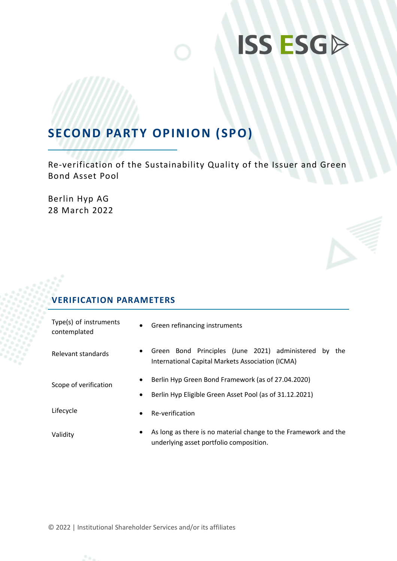# **ISS ESGA**

## **SECOND PARTY OPINION (SPO)**

Re-verification of the Sustainability Quality of the Issuer and Green Bond Asset Pool

Berlin Hyp AG 28 March 2022

## **VERIFICATION PARAMETERS**

| Type(s) of instruments<br>contemplated | $\bullet$ | Green refinancing instruments                                                                                |  |  |
|----------------------------------------|-----------|--------------------------------------------------------------------------------------------------------------|--|--|
| Relevant standards                     | $\bullet$ | Green Bond Principles (June 2021) administered by<br>the<br>International Capital Markets Association (ICMA) |  |  |
| Scope of verification                  | $\bullet$ | Berlin Hyp Green Bond Framework (as of 27.04.2020)                                                           |  |  |
|                                        | $\bullet$ | Berlin Hyp Eligible Green Asset Pool (as of 31.12.2021)                                                      |  |  |
| Lifecycle                              | $\bullet$ | Re-verification                                                                                              |  |  |
| Validity                               | $\bullet$ | As long as there is no material change to the Framework and the<br>underlying asset portfolio composition.   |  |  |

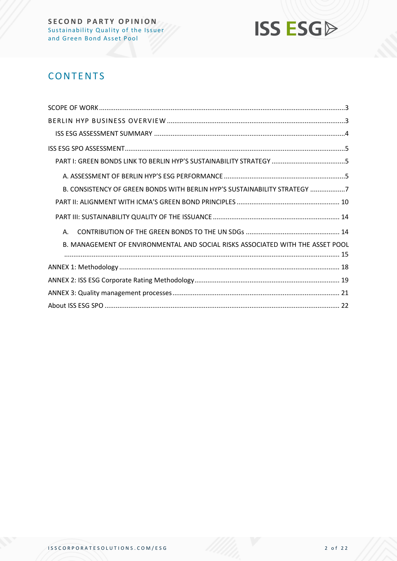

## **CONTENTS**

| B. CONSISTENCY OF GREEN BONDS WITH BERLIN HYP'S SUSTAINABILITY STRATEGY 7      |  |
|--------------------------------------------------------------------------------|--|
|                                                                                |  |
|                                                                                |  |
| Α.                                                                             |  |
| B. MANAGEMENT OF ENVIRONMENTAL AND SOCIAL RISKS ASSOCIATED WITH THE ASSET POOL |  |
|                                                                                |  |
|                                                                                |  |
|                                                                                |  |
|                                                                                |  |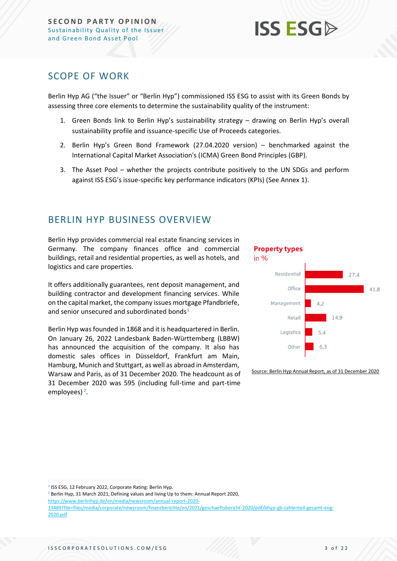## **ISS ESG**

## <span id="page-2-0"></span>SCOPE OF WORK

Berlin Hyp AG ("the Issuer" or "Berlin Hyp") commissioned ISS ESG to assist with its Green Bonds by assessing three core elements to determine the sustainability quality of the instrument:

- 1. Green Bonds link to Berlin Hyp's sustainability strategy drawing on Berlin Hyp's overall sustainability profile and issuance-specific Use of Proceeds categories.
- 2. Berlin Hyp's Green Bond Framework (27.04.2020 version) benchmarked against the International Capital Market Association's (ICMA) Green Bond Principles (GBP).
- 3. The Asset Pool whether the projects contribute positively to the UN SDGs and perform against ISS ESG's issue-specific key performance indicators (KPIs) (See Annex 1).

## <span id="page-2-1"></span>BERLIN HYP BUSINESS OVERVIEW

Berlin Hyp provides commercial real estate financing services in Germany. The company finances office and commercial buildings, retail and residential properties, as well as hotels, and logistics and care properties.

It offers additionally guarantees, rent deposit management, and building contractor and development financing services. While on the capital market, the company issues mortgage Pfandbriefe, and senior unsecured and subordinated bonds<sup>1</sup>

Berlin Hyp was founded in 1868 and it is headquartered in Berlin. On January 26, 2022 Landesbank Baden-Württemberg (LBBW) has announced the acquisition of the company. It also has domestic sales offices in Düsseldorf, Frankfurt am Main, Hamburg, Munich and Stuttgart, as well as abroad in Amsterdam, Warsaw and Paris, as of 31 December 2020. The headcount as of 31 December 2020 was 595 (including full-time and part-time employees)<sup>2</sup>.





Source: Berlin Hyp Annual Report, as of 31 December 2020

<sup>1</sup> ISS ESG, 12 February 2022, Corporate Rating: Berlin Hyp.

<sup>2</sup> Berlin Hyp, 31 March 2021, Defining values and living Up to them: Annual Report 2020, [https://www.berlinhyp.de/en/media/newsroom/annual-report-2020-](https://www.berlinhyp.de/en/media/newsroom/annual-report-2020-13489?file=files/media/corporate/newsroom/finanzberichte/en/2021/geschaeftsbericht-2020/pdf/bhyp-gb-zahlenteil-gesamt-eng-2020.pdf) [13489?file=files/media/corporate/newsroom/finanzberichte/en/2021/geschaeftsbericht-2020/pdf/bhyp-gb-zahlenteil-gesamt-eng-](https://www.berlinhyp.de/en/media/newsroom/annual-report-2020-13489?file=files/media/corporate/newsroom/finanzberichte/en/2021/geschaeftsbericht-2020/pdf/bhyp-gb-zahlenteil-gesamt-eng-2020.pdf)[2020.pdf](https://www.berlinhyp.de/en/media/newsroom/annual-report-2020-13489?file=files/media/corporate/newsroom/finanzberichte/en/2021/geschaeftsbericht-2020/pdf/bhyp-gb-zahlenteil-gesamt-eng-2020.pdf)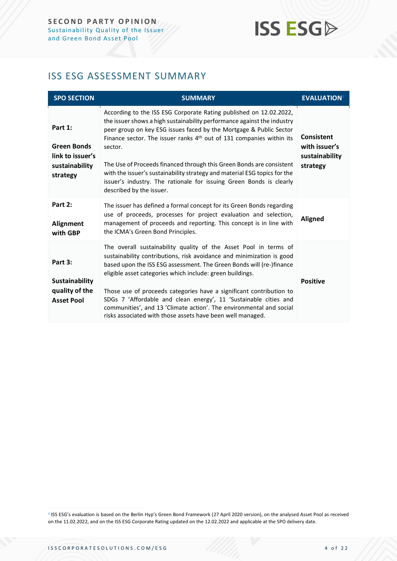## **ISS ESG**

## <span id="page-3-0"></span>ISS ESG ASSESSMENT SUMMARY

| <b>SPO SECTION</b>                                                              | <b>SUMMARY</b>                                                                                                                                                                                                                                                                                                                                                                                                                                                                                                                                                             | <b>EVALUATION</b> <sup>3</sup>                                   |
|---------------------------------------------------------------------------------|----------------------------------------------------------------------------------------------------------------------------------------------------------------------------------------------------------------------------------------------------------------------------------------------------------------------------------------------------------------------------------------------------------------------------------------------------------------------------------------------------------------------------------------------------------------------------|------------------------------------------------------------------|
| Part 1:<br><b>Green Bonds</b><br>link to issuer's<br>sustainability<br>strategy | According to the ISS ESG Corporate Rating published on 12.02.2022,<br>the issuer shows a high sustainability performance against the industry<br>peer group on key ESG issues faced by the Mortgage & Public Sector<br>Finance sector. The issuer ranks 4 <sup>th</sup> out of 131 companies within its<br>sector.<br>The Use of Proceeds financed through this Green Bonds are consistent<br>with the issuer's sustainability strategy and material ESG topics for the<br>issuer's industry. The rationale for issuing Green Bonds is clearly<br>described by the issuer. | <b>Consistent</b><br>with issuer's<br>sustainability<br>strategy |
| Part 2:<br>Alignment<br>with GBP                                                | The issuer has defined a formal concept for its Green Bonds regarding<br>use of proceeds, processes for project evaluation and selection,<br>management of proceeds and reporting. This concept is in line with<br>the ICMA's Green Bond Principles.                                                                                                                                                                                                                                                                                                                       | <b>Aligned</b>                                                   |
| Part 3:<br><b>Sustainability</b><br>quality of the<br><b>Asset Pool</b>         | The overall sustainability quality of the Asset Pool in terms of<br>sustainability contributions, risk avoidance and minimization is good<br>based upon the ISS ESG assessment. The Green Bonds will (re-)finance<br>eligible asset categories which include: green buildings.<br>Those use of proceeds categories have a significant contribution to<br>SDGs 7 'Affordable and clean energy', 11 'Sustainable cities and<br>communities', and 13 'Climate action'. The environmental and social<br>risks associated with those assets have been well managed.             | <b>Positive</b>                                                  |

<sup>3</sup> ISS ESG's evaluation is based on the Berlin Hyp's Green Bond Framework (27 April 2020 version), on the analysed Asset Pool as received on the 11.02.2022, and on the ISS ESG Corporate Rating updated on the 12.02.2022 and applicable at the SPO delivery date.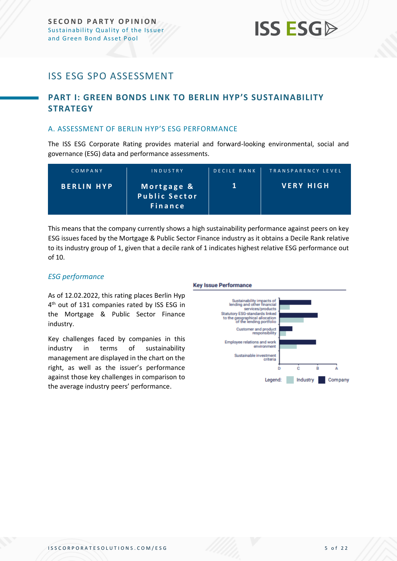## <span id="page-4-0"></span>ISS ESG SPO ASSESSMENT

### <span id="page-4-1"></span>**PART I: GREEN BONDS LINK TO BERLIN HYP'S SUSTAINABILITY STRATEGY**

#### <span id="page-4-2"></span>A. ASSESSMENT OF BERLIN HYP'S ESG PERFORMANCE

The ISS ESG Corporate Rating provides material and forward-looking environmental, social and governance (ESG) data and performance assessments.

| COMPANY           | INDUSTRY                                             | <b>DECILE RANK</b> | TRANSPARENCY LEVEL |
|-------------------|------------------------------------------------------|--------------------|--------------------|
| <b>BERLIN HYP</b> | Mortgage &<br><b>Public Sector</b><br><b>Finance</b> |                    | <b>VERY HIGH</b>   |

This means that the company currently shows a high sustainability performance against peers on key ESG issues faced by the Mortgage & Public Sector Finance industry as it obtains a Decile Rank relative to its industry group of 1, given that a decile rank of 1 indicates highest relative ESG performance out of 10.

#### *ESG performance*

#### **Key Issue Performance**

As of 12.02.2022, this rating places Berlin Hyp 4<sup>th</sup> out of 131 companies rated by ISS ESG in the Mortgage & Public Sector Finance industry.

Key challenges faced by companies in this industry in terms of sustainability management are displayed in the chart on the right, as well as the issuer's performance against those key challenges in comparison to the average industry peers' performance.

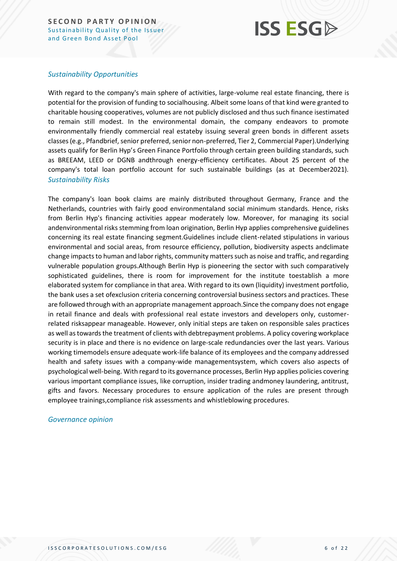## **ISS ESG**

#### *Sustainability Opportunities*

With regard to the company's main sphere of activities, large-volume real estate financing, there is potential for the provision of funding to socialhousing. Albeit some loans of that kind were granted to charitable housing cooperatives, volumes are not publicly disclosed and thus such finance isestimated to remain still modest. In the environmental domain, the company endeavors to promote environmentally friendly commercial real estateby issuing several green bonds in different assets classes (e.g., Pfandbrief, senior preferred, senior non-preferred, Tier 2, Commercial Paper).Underlying assets qualify for Berlin Hyp's Green Finance Portfolio through certain green building standards, such as BREEAM, LEED or DGNB andthrough energy-efficiency certificates. About 25 percent of the company's total loan portfolio account for such sustainable buildings (as at December2021). *Sustainability Risks*

The company's loan book claims are mainly distributed throughout Germany, France and the Netherlands, countries with fairly good environmentaland social minimum standards. Hence, risks from Berlin Hyp's financing activities appear moderately low. Moreover, for managing its social andenvironmental risks stemming from loan origination, Berlin Hyp applies comprehensive guidelines concerning its real estate financing segment.Guidelines include client-related stipulations in various environmental and social areas, from resource efficiency, pollution, biodiversity aspects andclimate change impacts to human and labor rights, community matters such as noise and traffic, and regarding vulnerable population groups.Although Berlin Hyp is pioneering the sector with such comparatively sophisticated guidelines, there is room for improvement for the institute toestablish a more elaborated system for compliance in that area. With regard to its own (liquidity) investment portfolio, the bank uses a set ofexclusion criteria concerning controversial business sectors and practices. These are followed through with an appropriate management approach.Since the company does not engage in retail finance and deals with professional real estate investors and developers only, customerrelated risksappear manageable. However, only initial steps are taken on responsible sales practices as well as towards the treatment of clients with debtrepayment problems. A policy covering workplace security is in place and there is no evidence on large-scale redundancies over the last years. Various working timemodels ensure adequate work-life balance of its employees and the company addressed health and safety issues with a company-wide managementsystem, which covers also aspects of psychological well-being. With regard to its governance processes, Berlin Hyp applies policies covering various important compliance issues, like corruption, insider trading andmoney laundering, antitrust, gifts and favors. Necessary procedures to ensure application of the rules are present through employee trainings,compliance risk assessments and whistleblowing procedures.

#### *Governance opinion*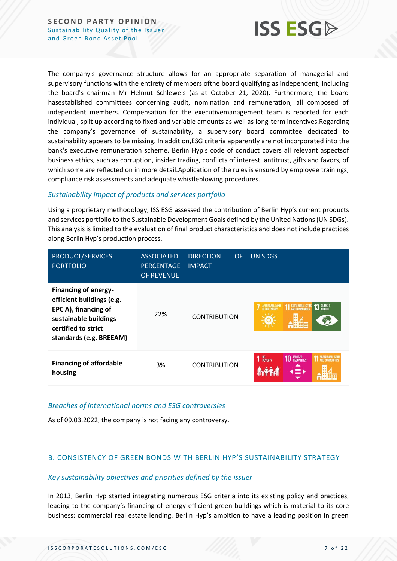

The company's governance structure allows for an appropriate separation of managerial and supervisory functions with the entirety of members ofthe board qualifying as independent, including the board's chairman Mr Helmut Schleweis (as at October 21, 2020). Furthermore, the board hasestablished committees concerning audit, nomination and remuneration, all composed of independent members. Compensation for the executivemanagement team is reported for each individual, split up according to fixed and variable amounts as well as long-term incentives.Regarding the company's governance of sustainability, a supervisory board committee dedicated to sustainability appears to be missing. In addition,ESG criteria apparently are not incorporated into the bank's executive remuneration scheme. Berlin Hyp's code of conduct covers all relevant aspectsof business ethics, such as corruption, insider trading, conflicts of interest, antitrust, gifts and favors, of which some are reflected on in more detail.Application of the rules is ensured by employee trainings, compliance risk assessments and adequate whistleblowing procedures.

#### *Sustainability impact of products and services portfolio*

Using a proprietary methodology, ISS ESG assessed the contribution of Berlin Hyp's current products and services portfolio to the Sustainable Development Goals defined by the United Nations (UN SDGs). This analysis is limited to the evaluation of final product characteristics and does not include practices along Berlin Hyp's production process.

| PRODUCT/SERVICES<br><b>PORTFOLIO</b>                                                                                                                        | <b>ASSOCIATED</b><br><b>PERCENTAGE</b><br>OF REVENUE | <b>DIRECTION</b><br><b>OF</b><br><b>IMPACT</b> | <b>UN SDGS</b>                                                      |
|-------------------------------------------------------------------------------------------------------------------------------------------------------------|------------------------------------------------------|------------------------------------------------|---------------------------------------------------------------------|
| <b>Financing of energy-</b><br>efficient buildings (e.g.<br>EPC A), financing of<br>sustainable buildings<br>certified to strict<br>standards (e.g. BREEAM) | 22%                                                  | <b>CONTRIBUTION</b>                            | <b>11 SUSTAINABLE CITIES</b><br>13 GLIMATE<br><b>AFFORDABLE AND</b> |
| <b>Financing of affordable</b><br>housing                                                                                                                   | 3%                                                   | <b>CONTRIBUTION</b>                            | <b>10 REDUCED</b><br>SUSTAINABLE CITI<br>NO<br>POVERTY              |

#### *Breaches of international norms and ESG controversies*

As of 09.03.2022, the company is not facing any controversy.

#### <span id="page-6-0"></span>B. CONSISTENCY OF GREEN BONDS WITH BERLIN HYP'S SUSTAINABILITY STRATEGY

#### *Key sustainability objectives and priorities defined by the issuer*

In 2013, Berlin Hyp started integrating numerous ESG criteria into its existing policy and practices, leading to the company's financing of energy-efficient green buildings which is material to its core business: commercial real estate lending. Berlin Hyp's ambition to have a leading position in green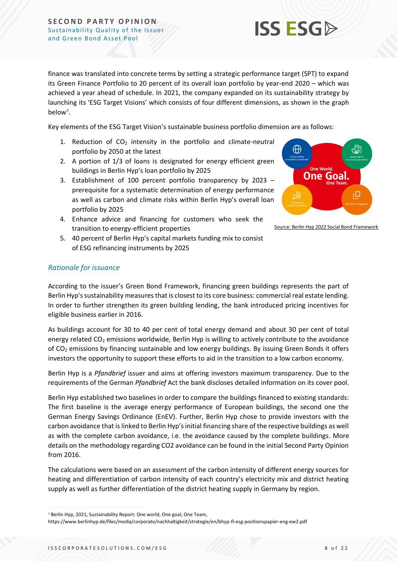

finance was translated into concrete terms by setting a strategic performance target (SPT) to expand its Green Finance Portfolio to 20 percent of its overall loan portfolio by year-end 2020 – which was achieved a year ahead of schedule. In 2021, the company expanded on its sustainability strategy by launching its 'ESG Target Visions' which consists of four different dimensions, as shown in the graph below<sup>4</sup> .

Key elements of the ESG Target Vision's sustainable business portfolio dimension are as follows:

- 1. Reduction of  $CO<sub>2</sub>$  intensity in the portfolio and climate-neutral portfolio by 2050 at the latest
- 2. A portion of 1/3 of loans is designated for energy efficient green buildings in Berlin Hyp's loan portfolio by 2025
- 3. Establishment of 100 percent portfolio transparency by 2023 prerequisite for a systematic determination of energy performance as well as carbon and climate risks within Berlin Hyp's overall loan portfolio by 2025
- 4. Enhance advice and financing for customers who seek the transition to energy-efficient properties



Source: Berlin Hyp 2022 Social Bond Framework

5. 40 percent of Berlin Hyp's capital markets funding mix to consist of ESG refinancing instruments by 2025

#### *Rationale for issuance*

According to the issuer's Green Bond Framework, financing green buildings represents the part of Berlin Hyp's sustainability measures that is closest to its core business: commercial real estate lending. In order to further strengthen its green building lending, the bank introduced pricing incentives for eligible business earlier in 2016.

As buildings account for 30 to 40 per cent of total energy demand and about 30 per cent of total energy related  $CO<sub>2</sub>$  emissions worldwide, Berlin Hyp is willing to actively contribute to the avoidance of  $CO<sub>2</sub>$  emissions by financing sustainable and low energy buildings. By issuing Green Bonds it offers investors the opportunity to support these efforts to aid in the transition to a low carbon economy.

Berlin Hyp is a *Pfandbrief* issuer and aims at offering investors maximum transparency. Due to the requirements of the German *Pfandbrief* Act the bank discloses detailed information on its cover pool.

Berlin Hyp established two baselines in order to compare the buildings financed to existing standards: The first baseline is the average energy performance of European buildings, the second one the German Energy Savings Ordinance (EnEV). Further, Berlin Hyp chose to provide investors with the carbon avoidance that is linked to Berlin Hyp's initial financing share of the respective buildings as well as with the complete carbon avoidance, i.e. the avoidance caused by the complete buildings. More details on the methodology regarding CO2 avoidance can be found in the initial Second Party Opinion from 2016.

The calculations were based on an assessment of the carbon intensity of different energy sources for heating and differentiation of carbon intensity of each country's electricity mix and district heating supply as well as further differentiation of the district heating supply in Germany by region.

<sup>4</sup> Berlin Hyp, 2021, Sustainability Report: One world, One goal, One Team,

https://www.berlinhyp.de/files/media/corporate/nachhaltigkeit/strategie/en/bhyp-fl-esg-positionspapier-eng-ew2.pdf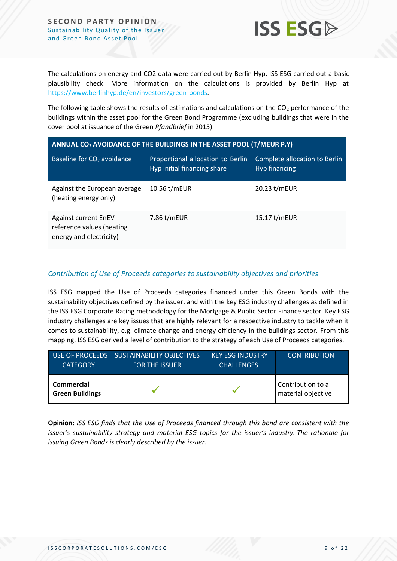

The calculations on energy and CO2 data were carried out by Berlin Hyp, ISS ESG carried out a basic plausibility check. More information on the calculations is provided by Berlin Hyp at [https://www.berlinhyp.de/en/investors/green-bonds.](https://protect-eu.mimecast.com/s/c_X-CnxJZuGAKjqcJ_7ZM?domain=berlinhyp.de)

The following table shows the results of estimations and calculations on the  $CO<sub>2</sub>$  performance of the buildings within the asset pool for the Green Bond Programme (excluding buildings that were in the cover pool at issuance of the Green *Pfandbrief* in 2015).

| ANNUAL CO <sub>2</sub> AVOIDANCE OF THE BUILDINGS IN THE ASSET POOL (T/MEUR P.Y)    |                                                                  |                                                |  |  |
|-------------------------------------------------------------------------------------|------------------------------------------------------------------|------------------------------------------------|--|--|
| Baseline for CO <sub>2</sub> avoidance                                              | Proportional allocation to Berlin<br>Hyp initial financing share | Complete allocation to Berlin<br>Hyp financing |  |  |
| Against the European average<br>(heating energy only)                               | 10.56 t/mEUR                                                     | 20.23 t/mEUR                                   |  |  |
| <b>Against current EnEV</b><br>reference values (heating<br>energy and electricity) | 7.86 t/mEUR                                                      | 15.17 t/mEUR                                   |  |  |

#### *Contribution of Use of Proceeds categories to sustainability objectives and priorities*

ISS ESG mapped the Use of Proceeds categories financed under this Green Bonds with the sustainability objectives defined by the issuer, and with the key ESG industry challenges as defined in the ISS ESG Corporate Rating methodology for the Mortgage & Public Sector Finance sector. Key ESG industry challenges are key issues that are highly relevant for a respective industry to tackle when it comes to sustainability, e.g. climate change and energy efficiency in the buildings sector. From this mapping, ISS ESG derived a level of contribution to the strategy of each Use of Proceeds categories.

| USE OF PROCEEDS                             | <b>SUSTAINABILITY OBJECTIVES</b> | <b>KEY ESG INDUSTRY</b> | <b>CONTRIBUTION</b>                     |
|---------------------------------------------|----------------------------------|-------------------------|-----------------------------------------|
| <b>CATEGORY</b>                             | <b>FOR THE ISSUER</b>            | <b>CHALLENGES</b>       |                                         |
| <b>Commercial</b><br><b>Green Buildings</b> |                                  |                         | Contribution to a<br>material objective |

**Opinion:** *ISS ESG finds that the Use of Proceeds financed through this bond are consistent with the issuer's sustainability strategy and material ESG topics for the issuer's industry. The rationale for issuing Green Bonds is clearly described by the issuer.*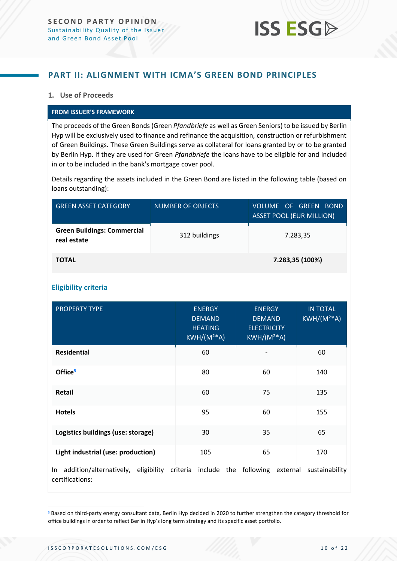

### <span id="page-9-0"></span>**PART II: ALIGNMENT WITH ICMA'S GREEN BOND PRINCIPLES**

#### **1. Use of Proceeds**

#### **FROM ISSUER'S FRAMEWORK**

The proceeds of the Green Bonds (Green *Pfandbriefe* as well as Green Seniors) to be issued by Berlin Hyp will be exclusively used to finance and refinance the acquisition, construction or refurbishment of Green Buildings. These Green Buildings serve as collateral for loans granted by or to be granted by Berlin Hyp. If they are used for Green *Pfandbriefe* the loans have to be eligible for and included in or to be included in the bank's mortgage cover pool.

Details regarding the assets included in the Green Bond are listed in the following table (based on loans outstanding):

| <b>GREEN ASSET CATEGORY</b>                       | <b>NUMBER OF OBJECTS</b> | <b>VOLUME OF GREEN BOND</b><br><b>ASSET POOL (EUR MILLION)</b> |
|---------------------------------------------------|--------------------------|----------------------------------------------------------------|
| <b>Green Buildings: Commercial</b><br>real estate | 312 buildings            | 7.283,35                                                       |
| <b>TOTAL</b>                                      |                          | 7.283,35 (100%)                                                |

#### **Eligibility criteria**

| <b>PROPERTY TYPE</b>                                            | <b>ENERGY</b><br><b>DEMAND</b><br><b>HEATING</b><br>$KWH/(M^{2*}A)$ | <b>ENERGY</b><br><b>DEMAND</b><br><b>ELECTRICITY</b><br>$KWH/(M2*A)$ | <b>IN TOTAL</b><br>$KWH/(M2*A)$ |
|-----------------------------------------------------------------|---------------------------------------------------------------------|----------------------------------------------------------------------|---------------------------------|
| <b>Residential</b>                                              | 60                                                                  |                                                                      | 60                              |
| Office <sup>5</sup>                                             | 80                                                                  | 60                                                                   | 140                             |
| Retail                                                          | 60                                                                  | 75                                                                   | 135                             |
| <b>Hotels</b>                                                   | 95                                                                  | 60                                                                   | 155                             |
| Logistics buildings (use: storage)                              | 30                                                                  | 35                                                                   | 65                              |
| Light industrial (use: production)                              | 105                                                                 | 65                                                                   | 170                             |
| addition/alternatively,<br>eligibility<br>In<br>certifications: | criteria include the following external                             |                                                                      | sustainability                  |

<sup>5</sup> Based on third-party energy consultant data, Berlin Hyp decided in 2020 to further strengthen the category threshold for office buildings in order to reflect Berlin Hyp's long term strategy and its specific asset portfolio.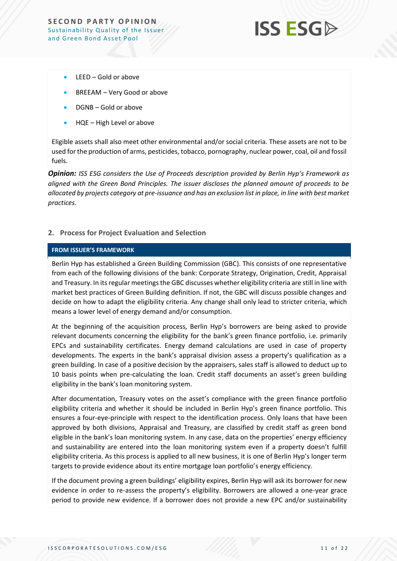

- LEED Gold or above
- BREEAM Very Good or above
- DGNB Gold or above
- HQE High Level or above

Eligible assets shall also meet other environmental and/or social criteria. These assets are not to be used for the production of arms, pesticides, tobacco, pornography, nuclear power, coal, oil and fossil fuels.

*Opinion: ISS ESG considers the Use of Proceeds description provided by Berlin Hyp's Framework as aligned with the Green Bond Principles. The issuer discloses the planned amount of proceeds to be allocated by projects category at pre-issuance and has an exclusion list in place, in line with best market practices.*

#### **2. Process for Project Evaluation and Selection**

#### **FROM ISSUER'S FRAMEWORK**

Berlin Hyp has established a Green Building Commission (GBC). This consists of one representative from each of the following divisions of the bank: Corporate Strategy, Origination, Credit, Appraisal and Treasury. In its regular meetings the GBC discusses whether eligibility criteria are still in line with market best practices of Green Building definition. If not, the GBC will discuss possible changes and decide on how to adapt the eligibility criteria. Any change shall only lead to stricter criteria, which means a lower level of energy demand and/or consumption.

At the beginning of the acquisition process, Berlin Hyp's borrowers are being asked to provide relevant documents concerning the eligibility for the bank's green finance portfolio, i.e. primarily EPCs and sustainability certificates. Energy demand calculations are used in case of property developments. The experts in the bank's appraisal division assess a property's qualification as a green building. In case of a positive decision by the appraisers, sales staff is allowed to deduct up to 10 basis points when pre-calculating the loan. Credit staff documents an asset's green building eligibility in the bank's loan monitoring system.

After documentation, Treasury votes on the asset's compliance with the green finance portfolio eligibility criteria and whether it should be included in Berlin Hyp's green finance portfolio. This ensures a four-eye-principle with respect to the identification process. Only loans that have been approved by both divisions, Appraisal and Treasury, are classified by credit staff as green bond eligible in the bank's loan monitoring system. In any case, data on the properties' energy efficiency and sustainability are entered into the loan monitoring system even if a property doesn't fulfill eligibility criteria. As this process is applied to all new business, it is one of Berlin Hyp's longer term targets to provide evidence about its entire mortgage loan portfolio's energy efficiency.

If the document proving a green buildings' eligibility expires, Berlin Hyp will ask its borrower for new evidence in order to re-assess the property's eligibility. Borrowers are allowed a one-year grace period to provide new evidence. If a borrower does not provide a new EPC and/or sustainability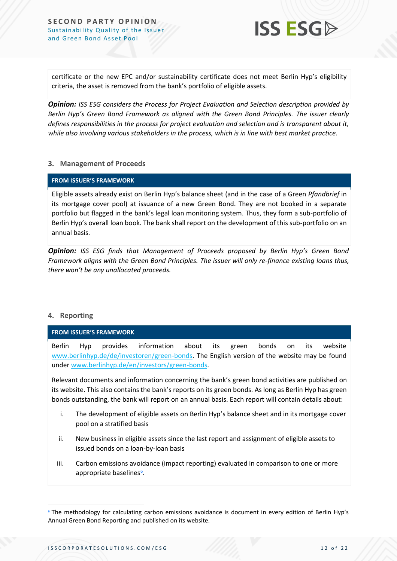

certificate or the new EPC and/or sustainability certificate does not meet Berlin Hyp's eligibility criteria, the asset is removed from the bank's portfolio of eligible assets.

*Opinion: ISS ESG considers the Process for Project Evaluation and Selection description provided by Berlin Hyp's Green Bond Framework as aligned with the Green Bond Principles. The issuer clearly defines responsibilities in the process for project evaluation and selection and is transparent about it, while also involving various stakeholders in the process, which is in line with best market practice.*

#### **3. Management of Proceeds**

#### **FROM ISSUER'S FRAMEWORK**

Eligible assets already exist on Berlin Hyp's balance sheet (and in the case of a Green *Pfandbrief* in its mortgage cover pool) at issuance of a new Green Bond. They are not booked in a separate portfolio but flagged in the bank's legal loan monitoring system. Thus, they form a sub-portfolio of Berlin Hyp's overall loan book. The bank shall report on the development of this sub-portfolio on an annual basis.

*Opinion: ISS ESG finds that Management of Proceeds proposed by Berlin Hyp's Green Bond Framework aligns with the Green Bond Principles. The issuer will only re-finance existing loans thus, there won't be any unallocated proceeds.*

#### **4. Reporting**

**FROM ISSUER'S FRAMEWORK**

Berlin Hyp provides information about its green bonds on its website [www.berlinhyp.de/de/investoren/green-bonds.](http://www.berlinhyp.de/de/investoren/green-bonds) The English version of the website may be found unde[r www.berlinhyp.de/en/investors/green-bonds.](http://www.berlinhyp.de/en/investors/green-bonds)

Relevant documents and information concerning the bank's green bond activities are published on its website. This also contains the bank's reports on its green bonds. As long as Berlin Hyp has green bonds outstanding, the bank will report on an annual basis. Each report will contain details about:

- i. The development of eligible assets on Berlin Hyp's balance sheet and in its mortgage cover pool on a stratified basis
- ii. New business in eligible assets since the last report and assignment of eligible assets to issued bonds on a loan-by-loan basis
- iii. Carbon emissions avoidance (impact reporting) evaluated in comparison to one or more appropriate baselines<sup>6</sup>.

<sup>6</sup> The methodology for calculating carbon emissions avoidance is document in every edition of Berlin Hyp's Annual Green Bond Reporting and published on its website.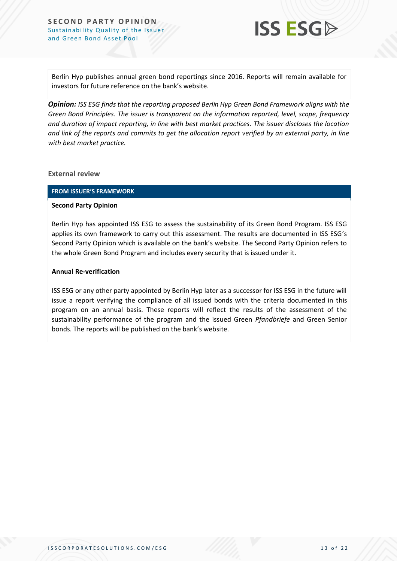

Berlin Hyp publishes annual green bond reportings since 2016. Reports will remain available for investors for future reference on the bank's website.

*Opinion: ISS ESG finds that the reporting proposed Berlin Hyp Green Bond Framework aligns with the Green Bond Principles. The issuer is transparent on the information reported, level, scope, frequency and duration of impact reporting, in line with best market practices. The issuer discloses the location and link of the reports and commits to get the allocation report verified by an external party, in line with best market practice.*

#### **External review**

#### **FROM ISSUER'S FRAMEWORK**

#### **Second Party Opinion**

Berlin Hyp has appointed ISS ESG to assess the sustainability of its Green Bond Program. ISS ESG applies its own framework to carry out this assessment. The results are documented in ISS ESG's Second Party Opinion which is available on the bank's website. The Second Party Opinion refers to the whole Green Bond Program and includes every security that is issued under it.

#### **Annual Re-verification**

ISS ESG or any other party appointed by Berlin Hyp later as a successor for ISS ESG in the future will issue a report verifying the compliance of all issued bonds with the criteria documented in this program on an annual basis. These reports will reflect the results of the assessment of the sustainability performance of the program and the issued Green *Pfandbriefe* and Green Senior bonds. The reports will be published on the bank's website.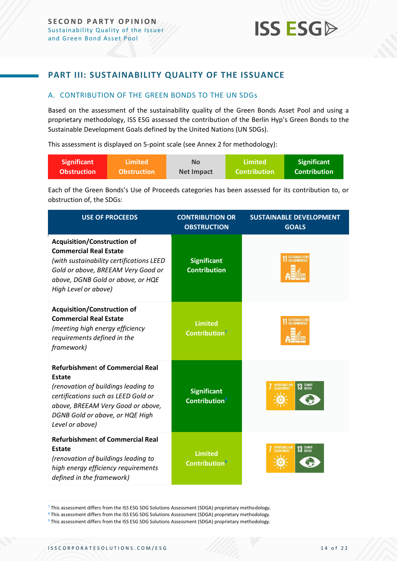### <span id="page-13-0"></span>**PART III: SUSTAINABILITY QUALITY OF THE ISSUANCE**

#### <span id="page-13-1"></span>A. CONTRIBUTION OF THE GREEN BONDS TO THE UN SDGs

Based on the assessment of the sustainability quality of the Green Bonds Asset Pool and using a proprietary methodology, ISS ESG assessed the contribution of the Berlin Hyp's Green Bonds to the Sustainable Development Goals defined by the United Nations (UN SDGs).

This assessment is displayed on 5-point scale (see Annex 2 for methodology):

| Significant        | ا Limited          | <b>No</b>         | Limited             | <b>Significant</b> |
|--------------------|--------------------|-------------------|---------------------|--------------------|
| <b>Obstruction</b> | <b>Obstruction</b> | <b>Net Impact</b> | <b>Contribution</b> | Contribution       |

Each of the Green Bonds's Use of Proceeds categories has been assessed for its contribution to, or obstruction of, the SDGs:

| <b>USE OF PROCEEDS</b>                                                                                                                                                                                                            | <b>CONTRIBUTION OR</b><br><b>OBSTRUCTION</b>           | <b>SUSTAINABLE DEVELOPMENT</b><br><b>GOALS</b>             |
|-----------------------------------------------------------------------------------------------------------------------------------------------------------------------------------------------------------------------------------|--------------------------------------------------------|------------------------------------------------------------|
| <b>Acquisition/Construction of</b><br><b>Commercial Real Estate</b><br>(with sustainability certifications LEED<br>Gold or above, BREEAM Very Good or<br>above, DGNB Gold or above, or HQE<br>High Level or above)                | <b>Significant</b><br><b>Contribution</b>              | SUSTAINABLE CITIES                                         |
| <b>Acquisition/Construction of</b><br><b>Commercial Real Estate</b><br>(meeting high energy efficiency<br>requirements defined in the<br>framework)                                                                               | <b>Limited</b><br>Contribution <sup>7</sup>            |                                                            |
| <b>Refurbishment of Commercial Real</b><br><b>Estate</b><br>(renovation of buildings leading to<br>certifications such as LEED Gold or<br>above, BREEAM Very Good or above,<br>DGNB Gold or above, or HQE High<br>Level or above) | <b>Significant</b><br><b>Contribution</b> <sup>8</sup> | <b>AFFORDABLE AND</b><br>13 GLIMATE<br><b>CLEAN ENERGY</b> |
| <b>Refurbishment of Commercial Real</b><br><b>Estate</b><br>(renovation of buildings leading to<br>high energy efficiency requirements<br>defined in the framework)                                                               | <b>Limited</b><br><b>Contribution</b> <sup>9</sup>     | <b>AFFORDABLE AND</b><br>13 GLIMATE                        |

<sup>&</sup>lt;sup>7</sup> This assessment differs from the ISS ESG SDG Solutions Assessment (SDGA) proprietary methodology.

<sup>8</sup> This assessment differs from the ISS ESG SDG Solutions Assessment (SDGA) proprietary methodology.

<sup>&</sup>lt;sup>9</sup> This assessment differs from the ISS ESG SDG Solutions Assessment (SDGA) proprietary methodology.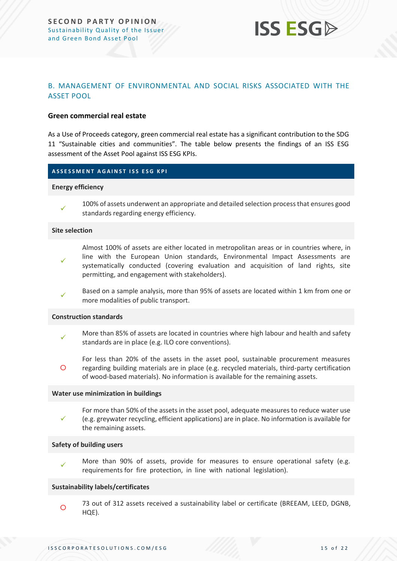

#### <span id="page-14-0"></span>B. MANAGEMENT OF ENVIRONMENTAL AND SOCIAL RISKS ASSOCIATED WITH THE ASSET POOL

#### **Green commercial real estate**

As a Use of Proceeds category, green commercial real estate has a significant contribution to the SDG 11 "Sustainable cities and communities". The table below presents the findings of an ISS ESG assessment of the Asset Pool against ISS ESG KPIs.

#### **A S S E S S M E N T A G A I N S T I S S E S G K P I**

#### **Energy efficiency**



100% of assets underwent an appropriate and detailed selection process that ensures good standards regarding energy efficiency.

#### **Site selection**

- ✓ Almost 100% of assets are either located in metropolitan areas or in countries where, in line with the European Union standards, Environmental Impact Assessments are systematically conducted (covering evaluation and acquisition of land rights, site permitting, and engagement with stakeholders).
- ✓ Based on a sample analysis, more than 95% of assets are located within 1 km from one or more modalities of public transport.

#### **Construction standards**

- ✓ More than 85% of assets are located in countries where high labour and health and safety standards are in place (e.g. ILO core conventions).
- $\circ$ For less than 20% of the assets in the asset pool, sustainable procurement measures regarding building materials are in place (e.g. recycled materials, third-party certification of wood-based materials). No information is available for the remaining assets.

#### **Water use minimization in buildings**

✓ For more than 50% of the assets in the asset pool, adequate measures to reduce water use (e.g. greywater recycling, efficient applications) are in place. No information is available for the remaining assets.

#### **Safety of building users**

✓ More than 90% of assets, provide for measures to ensure operational safety (e.g. requirements for fire protection, in line with national legislation).

#### **Sustainability labels/certificates**

 $\circ$ 73 out of 312 assets received a sustainability label or certificate (BREEAM, LEED, DGNB, HQE).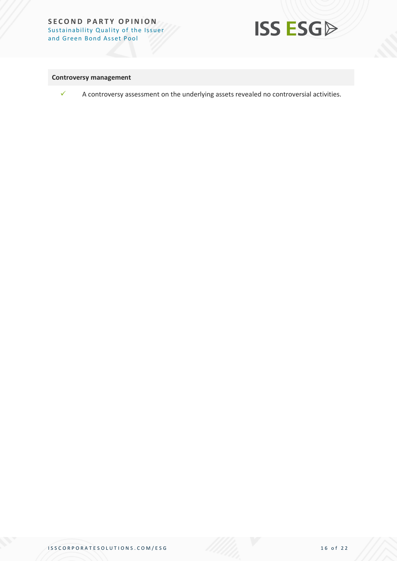

#### **Controversy management**



 $\checkmark$  A controversy assessment on the underlying assets revealed no controversial activities.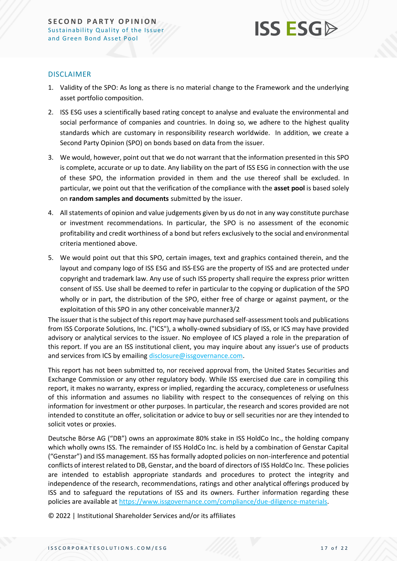

#### DISCLAIMER

- 1. Validity of the SPO: As long as there is no material change to the Framework and the underlying asset portfolio composition.
- 2. ISS ESG uses a scientifically based rating concept to analyse and evaluate the environmental and social performance of companies and countries. In doing so, we adhere to the highest quality standards which are customary in responsibility research worldwide. In addition, we create a Second Party Opinion (SPO) on bonds based on data from the issuer.
- 3. We would, however, point out that we do not warrant that the information presented in this SPO is complete, accurate or up to date. Any liability on the part of ISS ESG in connection with the use of these SPO, the information provided in them and the use thereof shall be excluded. In particular, we point out that the verification of the compliance with the **asset pool** is based solely on **random samples and documents** submitted by the issuer.
- 4. All statements of opinion and value judgements given by us do not in any way constitute purchase or investment recommendations. In particular, the SPO is no assessment of the economic profitability and credit worthiness of a bond but refers exclusively to the social and environmental criteria mentioned above.
- 5. We would point out that this SPO, certain images, text and graphics contained therein, and the layout and company logo of ISS ESG and ISS-ESG are the property of ISS and are protected under copyright and trademark law. Any use of such ISS property shall require the express prior written consent of ISS. Use shall be deemed to refer in particular to the copying or duplication of the SPO wholly or in part, the distribution of the SPO, either free of charge or against payment, or the exploitation of this SPO in any other conceivable manner3/2

The issuer that is the subject of this report may have purchased self-assessment tools and publications from ISS Corporate Solutions, Inc. ("ICS"), a wholly-owned subsidiary of ISS, or ICS may have provided advisory or analytical services to the issuer. No employee of ICS played a role in the preparation of this report. If you are an ISS institutional client, you may inquire about any issuer's use of products and services from ICS by emailing [disclosure@issgovernance.com.](mailto:disclosure@issgovernance.com)

This report has not been submitted to, nor received approval from, the United States Securities and Exchange Commission or any other regulatory body. While ISS exercised due care in compiling this report, it makes no warranty, express or implied, regarding the accuracy, completeness or usefulness of this information and assumes no liability with respect to the consequences of relying on this information for investment or other purposes. In particular, the research and scores provided are not intended to constitute an offer, solicitation or advice to buy or sell securities nor are they intended to solicit votes or proxies.

Deutsche Börse AG ("DB") owns an approximate 80% stake in ISS HoldCo Inc., the holding company which wholly owns ISS. The remainder of ISS HoldCo Inc. is held by a combination of Genstar Capital ("Genstar") and ISS management. ISS has formally adopted policies on non-interference and potential conflicts of interest related to DB, Genstar, and the board of directors of ISS HoldCo Inc. These policies are intended to establish appropriate standards and procedures to protect the integrity and independence of the research, recommendations, ratings and other analytical offerings produced by ISS and to safeguard the reputations of ISS and its owners. Further information regarding these policies are available at [https://www.issgovernance.com/compliance/due-diligence-materials.](https://www.issgovernance.com/compliance/due-diligence-materials)

© 2022 | Institutional Shareholder Services and/or its affiliates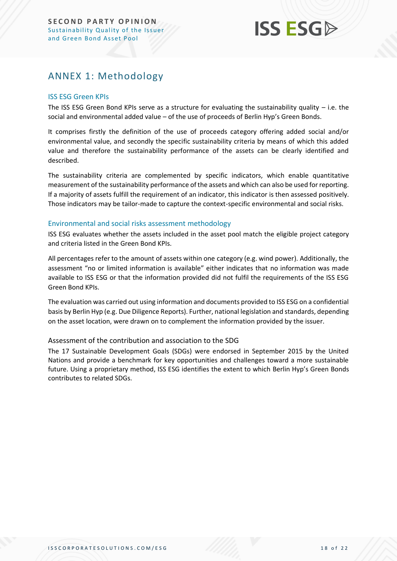## **ISS ESG**

## <span id="page-17-0"></span>ANNEX 1: Methodology

#### ISS ESG Green KPIs

The ISS ESG Green Bond KPIs serve as a structure for evaluating the sustainability quality – i.e. the social and environmental added value – of the use of proceeds of Berlin Hyp's Green Bonds.

It comprises firstly the definition of the use of proceeds category offering added social and/or environmental value, and secondly the specific sustainability criteria by means of which this added value and therefore the sustainability performance of the assets can be clearly identified and described.

The sustainability criteria are complemented by specific indicators, which enable quantitative measurement of the sustainability performance of the assets and which can also be used for reporting. If a majority of assets fulfill the requirement of an indicator, this indicator is then assessed positively. Those indicators may be tailor-made to capture the context-specific environmental and social risks.

#### Environmental and social risks assessment methodology

ISS ESG evaluates whether the assets included in the asset pool match the eligible project category and criteria listed in the Green Bond KPIs.

All percentages refer to the amount of assets within one category (e.g. wind power). Additionally, the assessment "no or limited information is available" either indicates that no information was made available to ISS ESG or that the information provided did not fulfil the requirements of the ISS ESG Green Bond KPIs.

The evaluation was carried out using information and documents provided to ISS ESG on a confidential basis by Berlin Hyp (e.g. Due Diligence Reports). Further, national legislation and standards, depending on the asset location, were drawn on to complement the information provided by the issuer.

#### Assessment of the contribution and association to the SDG

The 17 Sustainable Development Goals (SDGs) were endorsed in September 2015 by the United Nations and provide a benchmark for key opportunities and challenges toward a more sustainable future. Using a proprietary method, ISS ESG identifies the extent to which Berlin Hyp's Green Bonds contributes to related SDGs.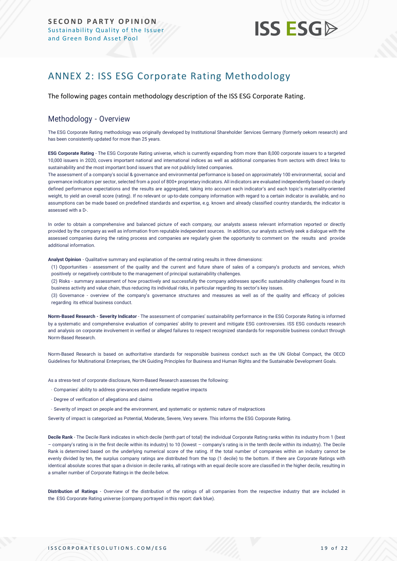## **ISS ESG**

## <span id="page-18-0"></span>ANNEX 2: ISS ESG Corporate Rating Methodology

The following pages contain methodology description of the ISS ESG Corporate Rating.

#### Methodology - Overview

The ESG Corporate Rating methodology was originally developed by Institutional Shareholder Services Germany (formerly oekom research) and has been consistently updated for more than 25 years.

**ESG Corporate Rating** - The ESG Corporate Rating universe, which is currently expanding from more than 8,000 corporate issuers to a targeted 10,000 issuers in 2020, covers important national and international indices as well as additional companies from sectors with direct links to sustainability and the most important bond issuers that are not publicly listed companies.

The assessment of a company's social & governance and environmental performance is based on approximately 100 environmental, social and governance indicators per sector, selected from a pool of 800+ proprietary indicators. All indicators are evaluated independently based on clearly defined performance expectations and the results are aggregated, taking into account each indicator's and each topic's materiality-oriented weight, to yield an overall score (rating). If no relevant or up-to-date company information with regard to a certain indicator is available, and no assumptions can be made based on predefined standards and expertise, e.g. known and already classified country standards, the indicator is assessed with a D-.

In order to obtain a comprehensive and balanced picture of each company, our analysts assess relevant information reported or directly provided by the company as well as information from reputable independent sources. In addition, our analysts actively seek a dialogue with the assessed companies during the rating process and companies are regularly given the opportunity to comment on the results and provide additional information.

**Analyst Opinion** - Qualitative summary and explanation of the central rating results in three dimensions:

(1) Opportunities - assessment of the quality and the current and future share of sales of a company's products and services, which positively or negatively contribute to the management of principal sustainability challenges.

(2) Risks - summary assessment of how proactively and successfully the company addresses specific sustainability challenges found in its business activity and value chain, thus reducing its individual risks, in particular regarding its sector's key issues.

(3) Governance - overview of the company's governance structures and measures as well as of the quality and efficacy of policies regarding its ethical business conduct.

**Norm-Based Research - Severity Indicator** - The assessment of companies' sustainability performance in the ESG Corporate Rating is informed by a systematic and comprehensive evaluation of companies' ability to prevent and mitigate ESG controversies. ISS ESG conducts research and analysis [on corporate involvement in verified or alleged failures to respect recognized](https://www.issgovernance.com/esg/screening/esg-screening-solutions/#nbr_techdoc_download) standards for responsible business conduct through [Norm-Based](https://www.issgovernance.com/esg/screening/esg-screening-solutions/#nbr_techdoc_download) Research.

Norm-Based Research is based on authoritative standards for responsible business conduct such as the UN Global Compact, the OECD Guidelines for Multinational Enterprises, the UN Guiding Principles for Business and Human Rights and the Sustainable Development Goals.

As a stress-test of corporate disclosure, Norm-Based Research assesses the following:

- Companies' ability to address grievances and remediate negative impacts
- Degree of verification of allegations and claims
- Severity of impact on people and the environment, and systematic or systemic nature of malpractices

Severity of impact is categorized as Potential, Moderate, Severe, Very severe. This informs the ESG Corporate Rating.

**Decile Rank** - The Decile Rank indicates in which decile (tenth part of total) the individual Corporate Rating ranks within its industry from 1 (best – company's rating is in the first decile within its industry) to 10 (lowest – company's rating is in the tenth decile within its industry). The Decile Rank is determined based on the underlying numerical score of the rating. If the total number of companies within an industry cannot be evenly divided by ten, the surplus company ratings are distributed from the top (1 decile) to the bottom. If there are Corporate Ratings with identical absolute scores that span a division in decile ranks, all ratings with an equal decile score are classified in the higher decile, resulting in a smaller number of Corporate Ratings in the decile below.

**Distribution of Ratings** - Overview of the distribution of the ratings of all companies from the respective industry that are included in the ESG Corporate Rating universe (company portrayed in this report: dark blue).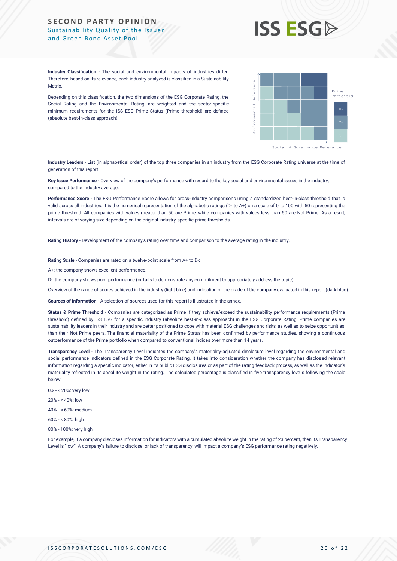

**Industry Classification** - The social and environmental impacts of industries differ. Therefore, based on its relevance, each industry analyzed is classified in a Sustainability **Matrix** 

Depending on this classification, the two dimensions of the ESG Corporate Rating, the Social Rating and the Environmental Rating, are weighted and the sector-specific minimum requirements for the ISS ESG Prime Status (Prime threshold) are defined (absolute best-in-class approach).



**Industry Leaders** - List (in alphabetical order) of the top three companies in an industry from the ESG Corporate Rating universe at the time of generation of this report.

**Key Issue Performance** - Overview of the company's performance with regard to the key social and environmental issues in the industry, compared to the industry average.

**Performance Score** - The ESG Performance Score allows for cross-industry comparisons using a standardized best-in-class threshold that is valid across all industries. It is the numerical representation of the alphabetic ratings (D- to A+) on a scale of 0 to 100 with 50 representing the prime threshold. All companies with values greater than 50 are Prime, while companies with values less than 50 are Not Prime. As a result, intervals are of varying size depending on the original industry-specific prime thresholds.

**Rating History** - Development of the company's rating over time and comparison to the average rating in the industry.

**Rating Scale** - Companies are rated on a twelve-point scale from A+ to D-:

A+: the company shows excellent performance.

D-: the company shows poor performance (or fails to demonstrate any commitment to appropriately address the topic).

Overview of the range of scores achieved in the industry (light blue) and indication of the grade of the company evaluated in this report (dark blue).

**Sources of Information** - A selection of sources used for this report is illustrated in the annex.

Status & Prime Threshold - Companies are categorized as Prime if they achieve/exceed the sustainability performance requirements (Prime threshold) defined by ISS ESG for a specific industry (absolute best-in-class approach) in the ESG Corporate Rating. Prime companies are sustainability leaders in their industry and are better positioned to cope with material ESG challenges and risks, as well as to seize opportunities, than their Not Prime peers. The financial materiality of the Prime Status has been confirmed by performance studies, showing a continuous outperformance of the Prime portfolio when compared to conventional indices over more than 14 years. Level is the main the company three of the form of the state of transparency of the state of transparence of the state of transparence of the state of the state of transparence of the state of transparence of the state of

**Transparency Level** - The Transparency Level indicates the company's materiality-adjusted disclosure level regarding the environmental and social performance indicators defined in the ESG Corporate Rating. It takes into consideration whether the company has disclosed relevant information regarding a specific indicator, either in its public ESG disclosures or as part of the rating feedback process, as well as the indicator's materiality reflected in its absolute weight in the rating. The calculated percentage is classified in five transparency levels following the scale below.

- 0% < 20%: very low
- $20% \times 40%$  low
- 40% < 60%: medium
- 60% < 80%: high
- 80% 100%: very high

For example, if a company discloses information for indicators with a cumulated absolute weight in the rating of 23 percent, then its Transparency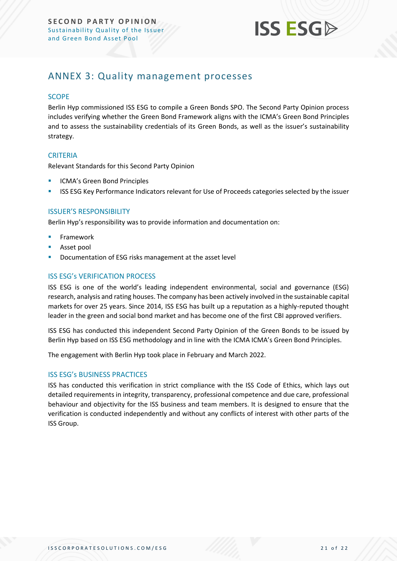

## <span id="page-20-0"></span>ANNEX 3: Quality management processes

#### **SCOPE**

Berlin Hyp commissioned ISS ESG to compile a Green Bonds SPO. The Second Party Opinion process includes verifying whether the Green Bond Framework aligns with the ICMA's Green Bond Principles and to assess the sustainability credentials of its Green Bonds, as well as the issuer's sustainability strategy.

#### **CRITERIA**

Relevant Standards for this Second Party Opinion

- ICMA's Green Bond Principles
- **EXECTS ESG Key Performance Indicators relevant for Use of Proceeds categories selected by the issuer**

#### ISSUER'S RESPONSIBILITY

Berlin Hyp's responsibility was to provide information and documentation on:

- **Framework**
- Asset pool
- Documentation of ESG risks management at the asset level

#### ISS ESG's VERIFICATION PROCESS

ISS ESG is one of the world's leading independent environmental, social and governance (ESG) research, analysis and rating houses. The company has been actively involved in the sustainable capital markets for over 25 years. Since 2014, ISS ESG has built up a reputation as a highly-reputed thought leader in the green and social bond market and has become one of the first CBI approved verifiers.

ISS ESG has conducted this independent Second Party Opinion of the Green Bonds to be issued by Berlin Hyp based on ISS ESG methodology and in line with the ICMA ICMA's Green Bond Principles.

The engagement with Berlin Hyp took place in February and March 2022.

#### ISS ESG's BUSINESS PRACTICES

ISS has conducted this verification in strict compliance with the ISS Code of Ethics, which lays out detailed requirements in integrity, transparency, professional competence and due care, professional behaviour and objectivity for the ISS business and team members. It is designed to ensure that the verification is conducted independently and without any conflicts of interest with other parts of the ISS Group.